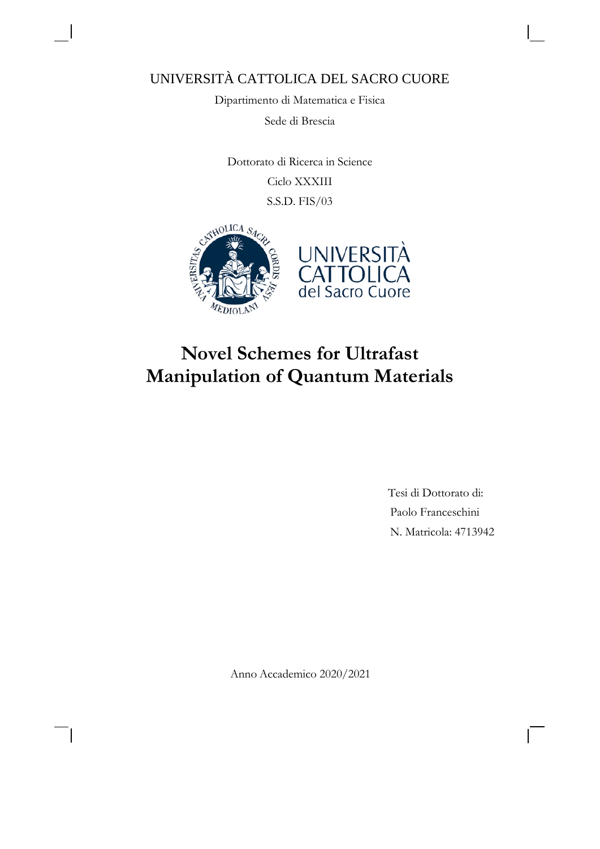### UNIVERSITÀ CATTOLICA DEL SACRO CUORE

Dipartimento di Matematica e Fisica

Sede di Brescia

Dottorato di Ricerca in Science Ciclo XXXIII S.S.D. FIS/03





### **Novel Schemes for Ultrafast Manipulation of Quantum Materials**

 Tesi di Dottorato di: Paolo Franceschini N. Matricola: 4713942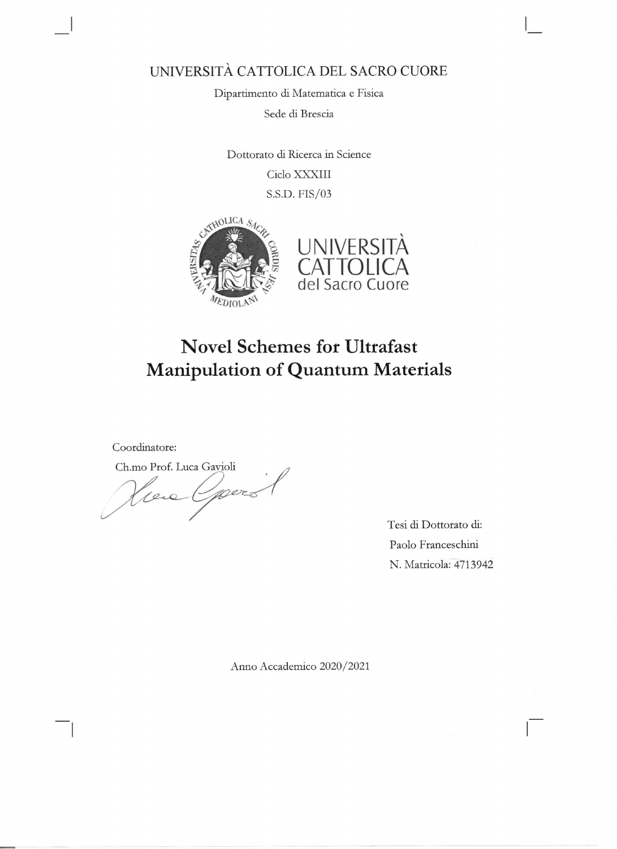### UNIVERSITÀ CATTOLICA DEL SACRO CUORE

Dipartimento di Matematica e Fisica

Sede di Brescia

Dottorato di Ricerca in Science Ciclo XXXIII S.S.D. FIS/03





### **Novel Schemes for Ultrafast Manipulation of Quantum Materials**

Coordinatore:

Ch.mo Prof. Luca Gavioli

Oppers Kreis

Tesi di Dottorato di: Paolo Franceschini N. Matricola: 4713942

Anno Accademico 2020/2021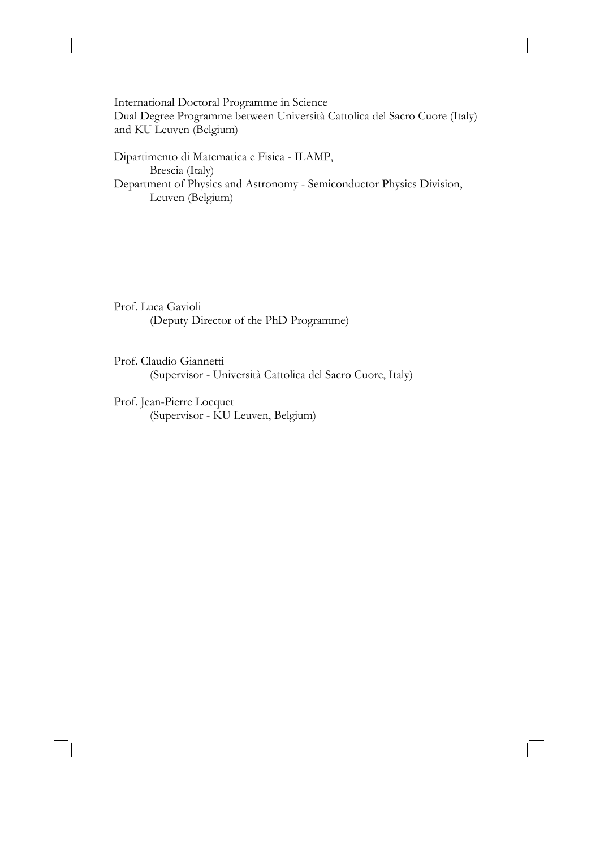International Doctoral Programme in Science Dual Degree Programme between Università Cattolica del Sacro Cuore (Italy) and KU Leuven (Belgium)

 Dipartimento di Matematica e Fisica - ILAMP, Brescia (Italy) Department of Physics and Astronomy - Semiconductor Physics Division, Leuven (Belgium)

 Prof. Luca Gavioli (Deputy Director of the PhD Programme)

 Prof. Claudio Giannetti (Supervisor - Università Cattolica del Sacro Cuore, Italy)

 Prof. Jean-Pierre Locquet (Supervisor - KU Leuven, Belgium)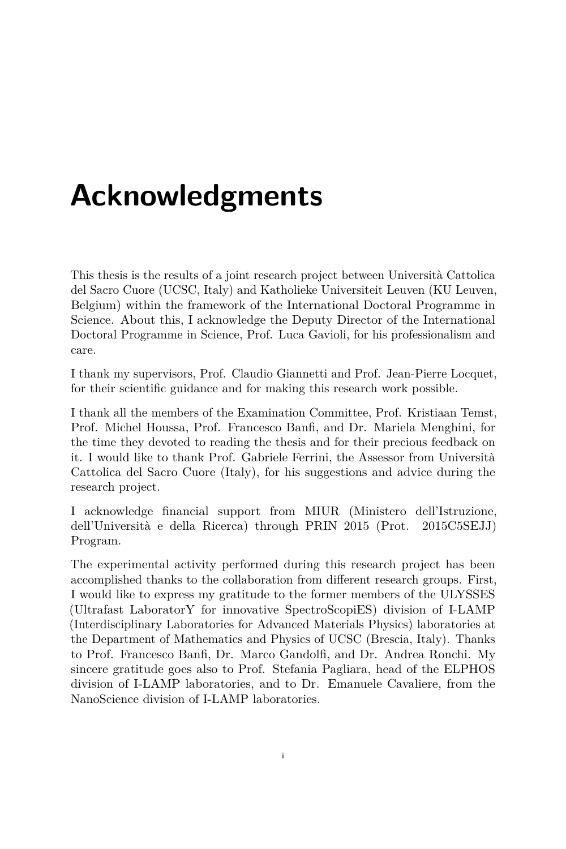## **Acknowledgments**

This thesis is the results of a joint research project between Università Cattolica del Sacro Cuore (UCSC, Italy) and Katholieke Universiteit Leuven (KU Leuven, Belgium) within the framework of the International Doctoral Programme in Science. About this, I acknowledge the Deputy Director of the International Doctoral Programme in Science, Prof. Luca Gavioli, for his professionalism and care.

I thank my supervisors, Prof. Claudio Giannetti and Prof. Jean-Pierre Locquet, for their scientific guidance and for making this research work possible.

I thank all the members of the Examination Committee, Prof. Kristiaan Temst, Prof. Michel Houssa, Prof. Francesco Banfi, and Dr. Mariela Menghini, for the time they devoted to reading the thesis and for their precious feedback on it. I would like to thank Prof. Gabriele Ferrini, the Assessor from Università Cattolica del Sacro Cuore (Italy), for his suggestions and advice during the research project.

I acknowledge financial support from MIUR (Ministero dell'Istruzione, dell'Università e della Ricerca) through PRIN 2015 (Prot. 2015C5SEJJ) Program.

The experimental activity performed during this research project has been accomplished thanks to the collaboration from different research groups. First, I would like to express my gratitude to the former members of the ULYSSES (Ultrafast LaboratorY for innovative SpectroScopiES) division of I-LAMP (Interdisciplinary Laboratories for Advanced Materials Physics) laboratories at the Department of Mathematics and Physics of UCSC (Brescia, Italy). Thanks to Prof. Francesco Banfi, Dr. Marco Gandolfi, and Dr. Andrea Ronchi. My sincere gratitude goes also to Prof. Stefania Pagliara, head of the ELPHOS division of I-LAMP laboratories, and to Dr. Emanuele Cavaliere, from the NanoScience division of I-LAMP laboratories.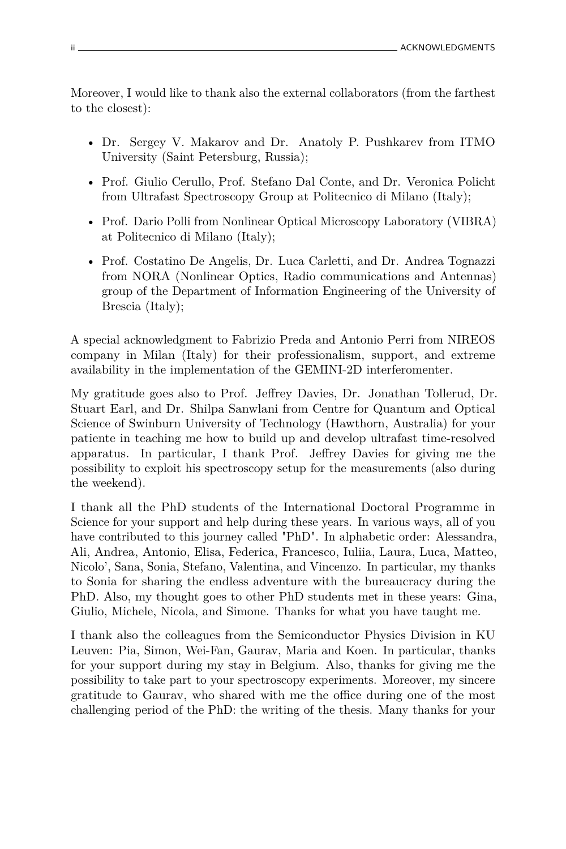Moreover, I would like to thank also the external collaborators (from the farthest to the closest):

- Dr. Sergey V. Makarov and Dr. Anatoly P. Pushkarev from ITMO University (Saint Petersburg, Russia);
- Prof. Giulio Cerullo, Prof. Stefano Dal Conte, and Dr. Veronica Policht from Ultrafast Spectroscopy Group at Politecnico di Milano (Italy);
- Prof. Dario Polli from Nonlinear Optical Microscopy Laboratory (VIBRA) at Politecnico di Milano (Italy);
- Prof. Costatino De Angelis, Dr. Luca Carletti, and Dr. Andrea Tognazzi from NORA (Nonlinear Optics, Radio communications and Antennas) group of the Department of Information Engineering of the University of Brescia (Italy);

A special acknowledgment to Fabrizio Preda and Antonio Perri from NIREOS company in Milan (Italy) for their professionalism, support, and extreme availability in the implementation of the GEMINI-2D interferomenter.

My gratitude goes also to Prof. Jeffrey Davies, Dr. Jonathan Tollerud, Dr. Stuart Earl, and Dr. Shilpa Sanwlani from Centre for Quantum and Optical Science of Swinburn University of Technology (Hawthorn, Australia) for your patiente in teaching me how to build up and develop ultrafast time-resolved apparatus. In particular, I thank Prof. Jeffrey Davies for giving me the possibility to exploit his spectroscopy setup for the measurements (also during the weekend).

I thank all the PhD students of the International Doctoral Programme in Science for your support and help during these years. In various ways, all of you have contributed to this journey called "PhD". In alphabetic order: Alessandra, Ali, Andrea, Antonio, Elisa, Federica, Francesco, Iuliia, Laura, Luca, Matteo, Nicolo', Sana, Sonia, Stefano, Valentina, and Vincenzo. In particular, my thanks to Sonia for sharing the endless adventure with the bureaucracy during the PhD. Also, my thought goes to other PhD students met in these years: Gina, Giulio, Michele, Nicola, and Simone. Thanks for what you have taught me.

I thank also the colleagues from the Semiconductor Physics Division in KU Leuven: Pia, Simon, Wei-Fan, Gaurav, Maria and Koen. In particular, thanks for your support during my stay in Belgium. Also, thanks for giving me the possibility to take part to your spectroscopy experiments. Moreover, my sincere gratitude to Gaurav, who shared with me the office during one of the most challenging period of the PhD: the writing of the thesis. Many thanks for your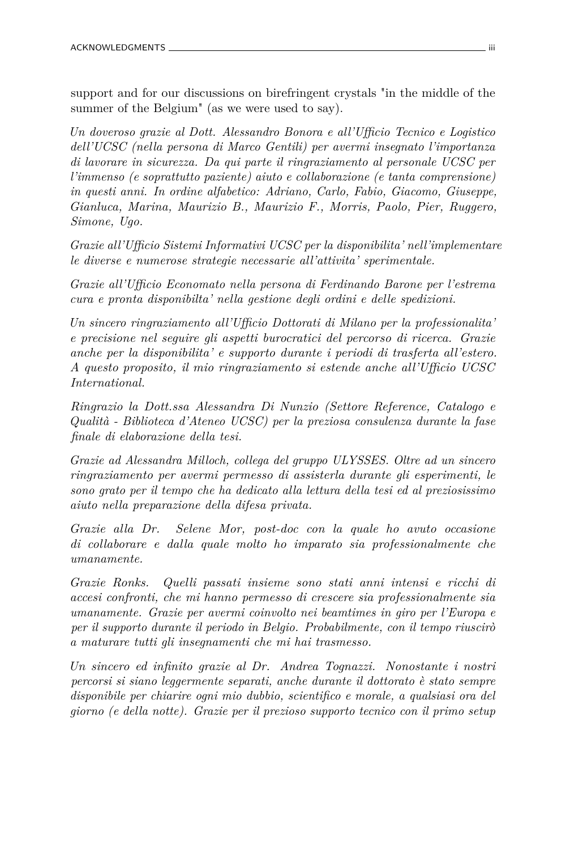support and for our discussions on birefringent crystals "in the middle of the summer of the Belgium" (as we were used to say).

*Un doveroso grazie al Dott. Alessandro Bonora e all'Ufficio Tecnico e Logistico dell'UCSC (nella persona di Marco Gentili) per avermi insegnato l'importanza di lavorare in sicurezza. Da qui parte il ringraziamento al personale UCSC per l'immenso (e soprattutto paziente) aiuto e collaborazione (e tanta comprensione) in questi anni. In ordine alfabetico: Adriano, Carlo, Fabio, Giacomo, Giuseppe, Gianluca, Marina, Maurizio B., Maurizio F., Morris, Paolo, Pier, Ruggero, Simone, Ugo.*

*Grazie all'Ufficio Sistemi Informativi UCSC per la disponibilita' nell'implementare le diverse e numerose strategie necessarie all'attivita' sperimentale.*

*Grazie all'Ufficio Economato nella persona di Ferdinando Barone per l'estrema cura e pronta disponibilta' nella gestione degli ordini e delle spedizioni.*

*Un sincero ringraziamento all'Ufficio Dottorati di Milano per la professionalita' e precisione nel seguire gli aspetti burocratici del percorso di ricerca. Grazie anche per la disponibilita' e supporto durante i periodi di trasferta all'estero. A questo proposito, il mio ringraziamento si estende anche all'Ufficio UCSC International.*

*Ringrazio la Dott.ssa Alessandra Di Nunzio (Settore Reference, Catalogo e Qualità - Biblioteca d'Ateneo UCSC) per la preziosa consulenza durante la fase finale di elaborazione della tesi.*

*Grazie ad Alessandra Milloch, collega del gruppo ULYSSES. Oltre ad un sincero ringraziamento per avermi permesso di assisterla durante gli esperimenti, le sono grato per il tempo che ha dedicato alla lettura della tesi ed al preziosissimo aiuto nella preparazione della difesa privata.*

*Grazie alla Dr. Selene Mor, post-doc con la quale ho avuto occasione di collaborare e dalla quale molto ho imparato sia professionalmente che umanamente.*

*Grazie Ronks. Quelli passati insieme sono stati anni intensi e ricchi di accesi confronti, che mi hanno permesso di crescere sia professionalmente sia umanamente. Grazie per avermi coinvolto nei beamtimes in giro per l'Europa e per il supporto durante il periodo in Belgio. Probabilmente, con il tempo riuscirò a maturare tutti gli insegnamenti che mi hai trasmesso.*

*Un sincero ed infinito grazie al Dr. Andrea Tognazzi. Nonostante i nostri percorsi si siano leggermente separati, anche durante il dottorato è stato sempre disponibile per chiarire ogni mio dubbio, scientifico e morale, a qualsiasi ora del giorno (e della notte). Grazie per il prezioso supporto tecnico con il primo setup*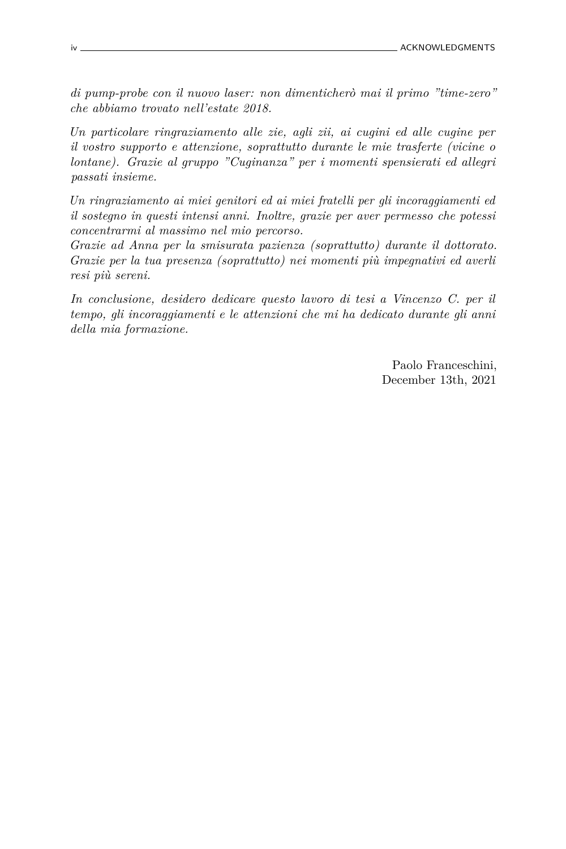*di pump-probe con il nuovo laser: non dimenticherò mai il primo "time-zero" che abbiamo trovato nell'estate 2018.*

*Un particolare ringraziamento alle zie, agli zii, ai cugini ed alle cugine per il vostro supporto e attenzione, soprattutto durante le mie trasferte (vicine o lontane). Grazie al gruppo "Cuginanza" per i momenti spensierati ed allegri passati insieme.*

*Un ringraziamento ai miei genitori ed ai miei fratelli per gli incoraggiamenti ed il sostegno in questi intensi anni. Inoltre, grazie per aver permesso che potessi concentrarmi al massimo nel mio percorso.*

*Grazie ad Anna per la smisurata pazienza (soprattutto) durante il dottorato. Grazie per la tua presenza (soprattutto) nei momenti più impegnativi ed averli resi più sereni.*

*In conclusione, desidero dedicare questo lavoro di tesi a Vincenzo C. per il tempo, gli incoraggiamenti e le attenzioni che mi ha dedicato durante gli anni della mia formazione.*

> Paolo Franceschini, December 13th, 2021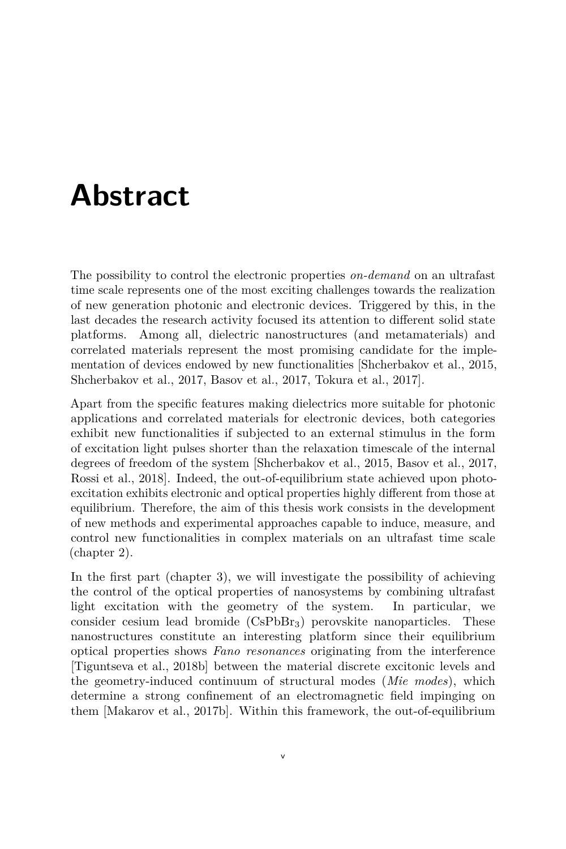## **Abstract**

The possibility to control the electronic properties *on-demand* on an ultrafast time scale represents one of the most exciting challenges towards the realization of new generation photonic and electronic devices. Triggered by this, in the last decades the research activity focused its attention to different solid state platforms. Among all, dielectric nanostructures (and metamaterials) and correlated materials represent the most promising candidate for the implementation of devices endowed by new functionalities [Shcherbakov et al., 2015, Shcherbakov et al., 2017, Basov et al., 2017, Tokura et al., 2017].

Apart from the specific features making dielectrics more suitable for photonic applications and correlated materials for electronic devices, both categories exhibit new functionalities if subjected to an external stimulus in the form of excitation light pulses shorter than the relaxation timescale of the internal degrees of freedom of the system [Shcherbakov et al., 2015, Basov et al., 2017, Rossi et al., 2018]. Indeed, the out-of-equilibrium state achieved upon photoexcitation exhibits electronic and optical properties highly different from those at equilibrium. Therefore, the aim of this thesis work consists in the development of new methods and experimental approaches capable to induce, measure, and control new functionalities in complex materials on an ultrafast time scale (chapter 2).

In the first part (chapter 3), we will investigate the possibility of achieving the control of the optical properties of nanosystems by combining ultrafast light excitation with the geometry of the system. In particular, we consider cesium lead bromide (CsPbBr<sub>3</sub>) perovskite nanoparticles. These nanostructures constitute an interesting platform since their equilibrium optical properties shows *Fano resonances* originating from the interference [Tiguntseva et al., 2018b] between the material discrete excitonic levels and the geometry-induced continuum of structural modes (*Mie modes*), which determine a strong confinement of an electromagnetic field impinging on them [Makarov et al., 2017b]. Within this framework, the out-of-equilibrium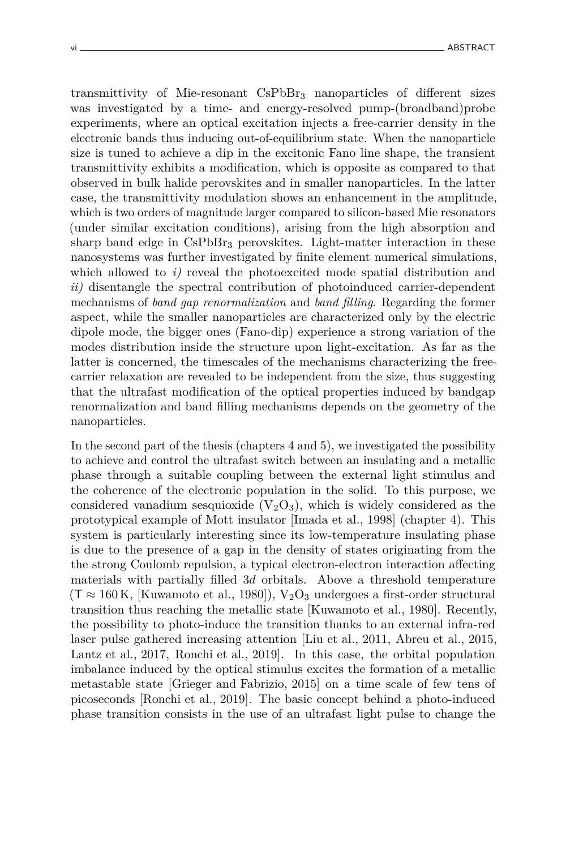transmittivity of Mie-resonant CsPbBr<sup>3</sup> nanoparticles of different sizes was investigated by a time- and energy-resolved pump-(broadband)probe experiments, where an optical excitation injects a free-carrier density in the electronic bands thus inducing out-of-equilibrium state. When the nanoparticle size is tuned to achieve a dip in the excitonic Fano line shape, the transient transmittivity exhibits a modification, which is opposite as compared to that observed in bulk halide perovskites and in smaller nanoparticles. In the latter case, the transmittivity modulation shows an enhancement in the amplitude, which is two orders of magnitude larger compared to silicon-based Mie resonators (under similar excitation conditions), arising from the high absorption and sharp band edge in CsPbBr<sub>3</sub> perovskites. Light-matter interaction in these nanosystems was further investigated by finite element numerical simulations, which allowed to *i*) reveal the photoexcited mode spatial distribution and *ii)* disentangle the spectral contribution of photoinduced carrier-dependent mechanisms of *band gap renormalization* and *band filling*. Regarding the former aspect, while the smaller nanoparticles are characterized only by the electric dipole mode, the bigger ones (Fano-dip) experience a strong variation of the modes distribution inside the structure upon light-excitation. As far as the latter is concerned, the timescales of the mechanisms characterizing the freecarrier relaxation are revealed to be independent from the size, thus suggesting that the ultrafast modification of the optical properties induced by bandgap renormalization and band filling mechanisms depends on the geometry of the nanoparticles.

In the second part of the thesis (chapters 4 and 5), we investigated the possibility to achieve and control the ultrafast switch between an insulating and a metallic phase through a suitable coupling between the external light stimulus and the coherence of the electronic population in the solid. To this purpose, we considered vanadium sesquioxide  $(V_2O_3)$ , which is widely considered as the prototypical example of Mott insulator [Imada et al., 1998] (chapter 4). This system is particularly interesting since its low-temperature insulating phase is due to the presence of a gap in the density of states originating from the the strong Coulomb repulsion, a typical electron-electron interaction affecting materials with partially filled 3*d* orbitals. Above a threshold temperature  $(T \approx 160 \,\mathrm{K}$ , [Kuwamoto et al., 1980]),  $V_2O_3$  undergoes a first-order structural transition thus reaching the metallic state [Kuwamoto et al., 1980]. Recently, the possibility to photo-induce the transition thanks to an external infra-red laser pulse gathered increasing attention [Liu et al., 2011, Abreu et al., 2015, Lantz et al., 2017, Ronchi et al., 2019]. In this case, the orbital population imbalance induced by the optical stimulus excites the formation of a metallic metastable state [Grieger and Fabrizio, 2015] on a time scale of few tens of picoseconds [Ronchi et al., 2019]. The basic concept behind a photo-induced phase transition consists in the use of an ultrafast light pulse to change the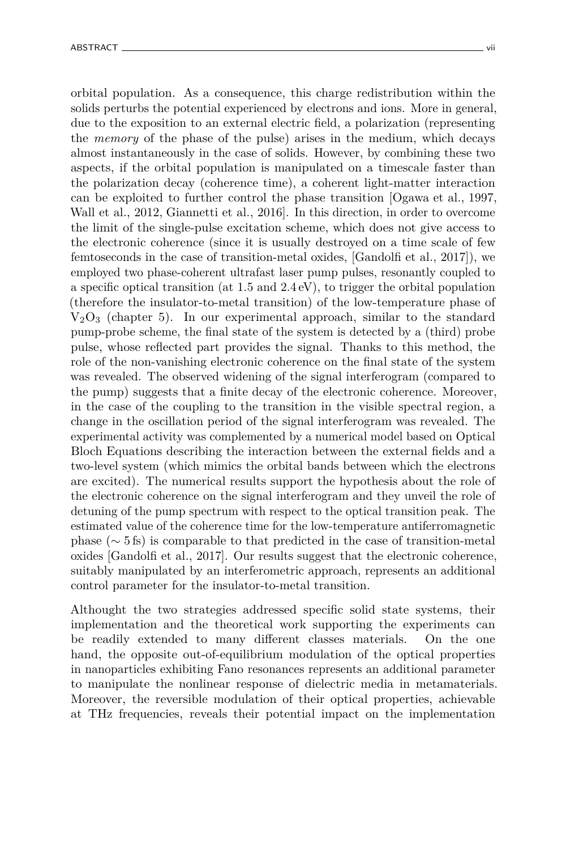orbital population. As a consequence, this charge redistribution within the solids perturbs the potential experienced by electrons and ions. More in general, due to the exposition to an external electric field, a polarization (representing the *memory* of the phase of the pulse) arises in the medium, which decays almost instantaneously in the case of solids. However, by combining these two aspects, if the orbital population is manipulated on a timescale faster than the polarization decay (coherence time), a coherent light-matter interaction can be exploited to further control the phase transition [Ogawa et al., 1997, Wall et al., 2012, Giannetti et al., 2016]. In this direction, in order to overcome the limit of the single-pulse excitation scheme, which does not give access to the electronic coherence (since it is usually destroyed on a time scale of few femtoseconds in the case of transition-metal oxides, [Gandolfi et al., 2017]), we employed two phase-coherent ultrafast laser pump pulses, resonantly coupled to a specific optical transition (at 1*.*5 and 2*.*4 eV), to trigger the orbital population (therefore the insulator-to-metal transition) of the low-temperature phase of  $V_2O_3$  (chapter 5). In our experimental approach, similar to the standard pump-probe scheme, the final state of the system is detected by a (third) probe pulse, whose reflected part provides the signal. Thanks to this method, the role of the non-vanishing electronic coherence on the final state of the system was revealed. The observed widening of the signal interferogram (compared to the pump) suggests that a finite decay of the electronic coherence. Moreover, in the case of the coupling to the transition in the visible spectral region, a change in the oscillation period of the signal interferogram was revealed. The experimental activity was complemented by a numerical model based on Optical Bloch Equations describing the interaction between the external fields and a two-level system (which mimics the orbital bands between which the electrons are excited). The numerical results support the hypothesis about the role of the electronic coherence on the signal interferogram and they unveil the role of detuning of the pump spectrum with respect to the optical transition peak. The estimated value of the coherence time for the low-temperature antiferromagnetic phase ( $\sim$  5 fs) is comparable to that predicted in the case of transition-metal oxides [Gandolfi et al., 2017]. Our results suggest that the electronic coherence, suitably manipulated by an interferometric approach, represents an additional control parameter for the insulator-to-metal transition.

Althought the two strategies addressed specific solid state systems, their implementation and the theoretical work supporting the experiments can be readily extended to many different classes materials. On the one hand, the opposite out-of-equilibrium modulation of the optical properties in nanoparticles exhibiting Fano resonances represents an additional parameter to manipulate the nonlinear response of dielectric media in metamaterials. Moreover, the reversible modulation of their optical properties, achievable at THz frequencies, reveals their potential impact on the implementation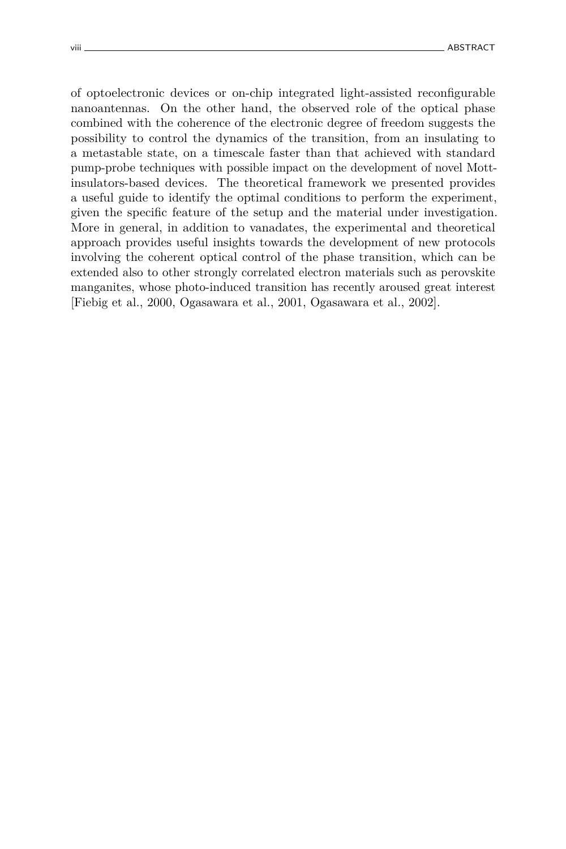of optoelectronic devices or on-chip integrated light-assisted reconfigurable nanoantennas. On the other hand, the observed role of the optical phase combined with the coherence of the electronic degree of freedom suggests the possibility to control the dynamics of the transition, from an insulating to a metastable state, on a timescale faster than that achieved with standard pump-probe techniques with possible impact on the development of novel Mottinsulators-based devices. The theoretical framework we presented provides a useful guide to identify the optimal conditions to perform the experiment, given the specific feature of the setup and the material under investigation. More in general, in addition to vanadates, the experimental and theoretical approach provides useful insights towards the development of new protocols involving the coherent optical control of the phase transition, which can be extended also to other strongly correlated electron materials such as perovskite manganites, whose photo-induced transition has recently aroused great interest [Fiebig et al., 2000, Ogasawara et al., 2001, Ogasawara et al., 2002].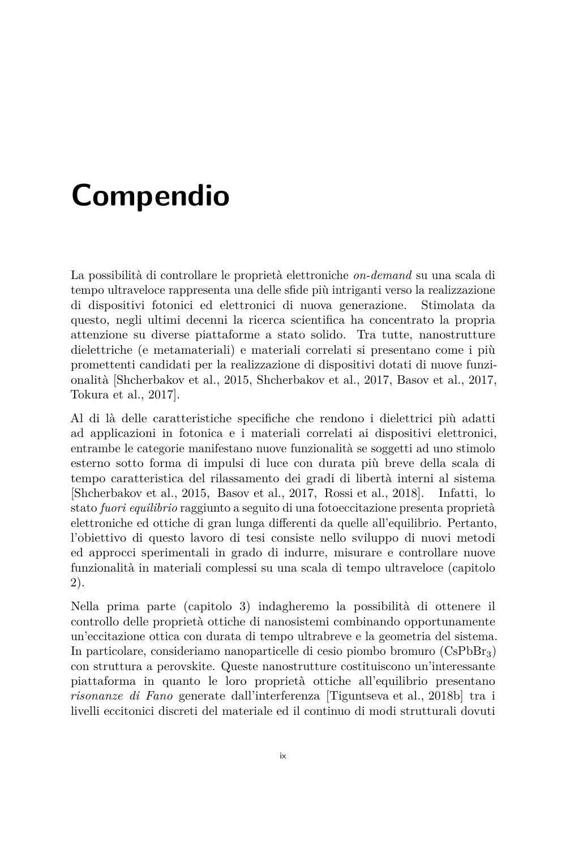# **Compendio**

La possibilità di controllare le proprietà elettroniche *on-demand* su una scala di tempo ultraveloce rappresenta una delle sfide più intriganti verso la realizzazione di dispositivi fotonici ed elettronici di nuova generazione. Stimolata da questo, negli ultimi decenni la ricerca scientifica ha concentrato la propria attenzione su diverse piattaforme a stato solido. Tra tutte, nanostrutture dielettriche (e metamateriali) e materiali correlati si presentano come i più promettenti candidati per la realizzazione di dispositivi dotati di nuove funzionalità [Shcherbakov et al., 2015, Shcherbakov et al., 2017, Basov et al., 2017, Tokura et al., 2017].

Al di là delle caratteristiche specifiche che rendono i dielettrici più adatti ad applicazioni in fotonica e i materiali correlati ai dispositivi elettronici, entrambe le categorie manifestano nuove funzionalità se soggetti ad uno stimolo esterno sotto forma di impulsi di luce con durata più breve della scala di tempo caratteristica del rilassamento dei gradi di libertà interni al sistema [Shcherbakov et al., 2015, Basov et al., 2017, Rossi et al., 2018]. Infatti, lo stato *fuori equilibrio* raggiunto a seguito di una fotoeccitazione presenta proprietà elettroniche ed ottiche di gran lunga differenti da quelle all'equilibrio. Pertanto, l'obiettivo di questo lavoro di tesi consiste nello sviluppo di nuovi metodi ed approcci sperimentali in grado di indurre, misurare e controllare nuove funzionalità in materiali complessi su una scala di tempo ultraveloce (capitolo 2).

Nella prima parte (capitolo 3) indagheremo la possibilità di ottenere il controllo delle proprietà ottiche di nanosistemi combinando opportunamente un'eccitazione ottica con durata di tempo ultrabreve e la geometria del sistema. In particolare, consideriamo nanoparticelle di cesio piombo bromuro (CsPbBr3) con struttura a perovskite. Queste nanostrutture costituiscono un'interessante piattaforma in quanto le loro proprietà ottiche all'equilibrio presentano *risonanze di Fano* generate dall'interferenza [Tiguntseva et al., 2018b] tra i livelli eccitonici discreti del materiale ed il continuo di modi strutturali dovuti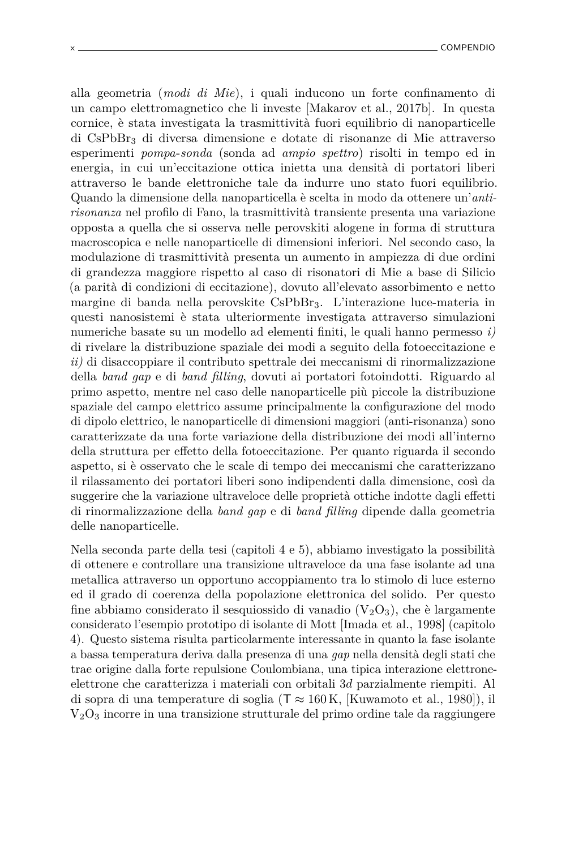alla geometria (*modi di Mie*), i quali inducono un forte confinamento di un campo elettromagnetico che li investe [Makarov et al., 2017b]. In questa cornice, è stata investigata la trasmittività fuori equilibrio di nanoparticelle di CsPbBr<sup>3</sup> di diversa dimensione e dotate di risonanze di Mie attraverso esperimenti *pompa*-*sonda* (sonda ad *ampio spettro*) risolti in tempo ed in energia, in cui un'eccitazione ottica inietta una densità di portatori liberi attraverso le bande elettroniche tale da indurre uno stato fuori equilibrio. Quando la dimensione della nanoparticella è scelta in modo da ottenere un'*antirisonanza* nel profilo di Fano, la trasmittività transiente presenta una variazione opposta a quella che si osserva nelle perovskiti alogene in forma di struttura macroscopica e nelle nanoparticelle di dimensioni inferiori. Nel secondo caso, la modulazione di trasmittività presenta un aumento in ampiezza di due ordini di grandezza maggiore rispetto al caso di risonatori di Mie a base di Silicio (a parità di condizioni di eccitazione), dovuto all'elevato assorbimento e netto margine di banda nella perovskite CsPbBr3. L'interazione luce-materia in questi nanosistemi è stata ulteriormente investigata attraverso simulazioni numeriche basate su un modello ad elementi finiti, le quali hanno permesso *i)* di rivelare la distribuzione spaziale dei modi a seguito della fotoeccitazione e *ii)* di disaccoppiare il contributo spettrale dei meccanismi di rinormalizzazione della *band gap* e di *band filling*, dovuti ai portatori fotoindotti. Riguardo al primo aspetto, mentre nel caso delle nanoparticelle più piccole la distribuzione spaziale del campo elettrico assume principalmente la configurazione del modo di dipolo elettrico, le nanoparticelle di dimensioni maggiori (anti-risonanza) sono caratterizzate da una forte variazione della distribuzione dei modi all'interno della struttura per effetto della fotoeccitazione. Per quanto riguarda il secondo aspetto, si è osservato che le scale di tempo dei meccanismi che caratterizzano il rilassamento dei portatori liberi sono indipendenti dalla dimensione, così da suggerire che la variazione ultraveloce delle proprietà ottiche indotte dagli effetti di rinormalizzazione della *band gap* e di *band filling* dipende dalla geometria delle nanoparticelle.

Nella seconda parte della tesi (capitoli 4 e 5), abbiamo investigato la possibilità di ottenere e controllare una transizione ultraveloce da una fase isolante ad una metallica attraverso un opportuno accoppiamento tra lo stimolo di luce esterno ed il grado di coerenza della popolazione elettronica del solido. Per questo fine abbiamo considerato il sesquiossido di vanadio  $(V_2O_3)$ , che è largamente considerato l'esempio prototipo di isolante di Mott [Imada et al., 1998] (capitolo 4). Questo sistema risulta particolarmente interessante in quanto la fase isolante a bassa temperatura deriva dalla presenza di una *gap* nella densità degli stati che trae origine dalla forte repulsione Coulombiana, una tipica interazione elettroneelettrone che caratterizza i materiali con orbitali 3*d* parzialmente riempiti. Al di sopra di una temperature di soglia (T  $\approx 160 \,\mathrm{K}$ , [Kuwamoto et al., 1980]), il  $V<sub>2</sub>O<sub>3</sub>$  incorre in una transizione strutturale del primo ordine tale da raggiungere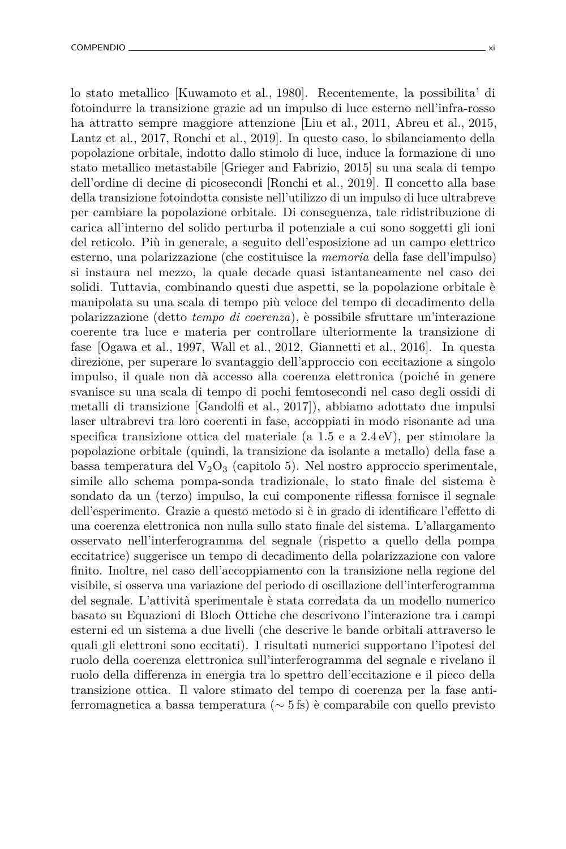lo stato metallico [Kuwamoto et al., 1980]. Recentemente, la possibilita' di fotoindurre la transizione grazie ad un impulso di luce esterno nell'infra-rosso ha attratto sempre maggiore attenzione [Liu et al., 2011, Abreu et al., 2015, Lantz et al., 2017, Ronchi et al., 2019]. In questo caso, lo sbilanciamento della popolazione orbitale, indotto dallo stimolo di luce, induce la formazione di uno stato metallico metastabile [Grieger and Fabrizio, 2015] su una scala di tempo dell'ordine di decine di picosecondi [Ronchi et al., 2019]. Il concetto alla base della transizione fotoindotta consiste nell'utilizzo di un impulso di luce ultrabreve per cambiare la popolazione orbitale. Di conseguenza, tale ridistribuzione di carica all'interno del solido perturba il potenziale a cui sono soggetti gli ioni del reticolo. Più in generale, a seguito dell'esposizione ad un campo elettrico esterno, una polarizzazione (che costituisce la *memoria* della fase dell'impulso) si instaura nel mezzo, la quale decade quasi istantaneamente nel caso dei solidi. Tuttavia, combinando questi due aspetti, se la popolazione orbitale è manipolata su una scala di tempo più veloce del tempo di decadimento della polarizzazione (detto *tempo di coerenza*), è possibile sfruttare un'interazione coerente tra luce e materia per controllare ulteriormente la transizione di fase [Ogawa et al., 1997, Wall et al., 2012, Giannetti et al., 2016]. In questa direzione, per superare lo svantaggio dell'approccio con eccitazione a singolo impulso, il quale non dà accesso alla coerenza elettronica (poiché in genere svanisce su una scala di tempo di pochi femtosecondi nel caso degli ossidi di metalli di transizione [Gandolfi et al., 2017]), abbiamo adottato due impulsi laser ultrabrevi tra loro coerenti in fase, accoppiati in modo risonante ad una specifica transizione ottica del materiale (a 1*.*5 e a 2*.*4 eV), per stimolare la popolazione orbitale (quindi, la transizione da isolante a metallo) della fase a bassa temperatura del  $V_2O_3$  (capitolo 5). Nel nostro approccio sperimentale, simile allo schema pompa-sonda tradizionale, lo stato finale del sistema è sondato da un (terzo) impulso, la cui componente riflessa fornisce il segnale dell'esperimento. Grazie a questo metodo si è in grado di identificare l'effetto di una coerenza elettronica non nulla sullo stato finale del sistema. L'allargamento osservato nell'interferogramma del segnale (rispetto a quello della pompa eccitatrice) suggerisce un tempo di decadimento della polarizzazione con valore finito. Inoltre, nel caso dell'accoppiamento con la transizione nella regione del visibile, si osserva una variazione del periodo di oscillazione dell'interferogramma del segnale. L'attività sperimentale è stata corredata da un modello numerico basato su Equazioni di Bloch Ottiche che descrivono l'interazione tra i campi esterni ed un sistema a due livelli (che descrive le bande orbitali attraverso le quali gli elettroni sono eccitati). I risultati numerici supportano l'ipotesi del ruolo della coerenza elettronica sull'interferogramma del segnale e rivelano il ruolo della differenza in energia tra lo spettro dell'eccitazione e il picco della transizione ottica. Il valore stimato del tempo di coerenza per la fase antiferromagnetica a bassa temperatura (∼ 5 fs) è comparabile con quello previsto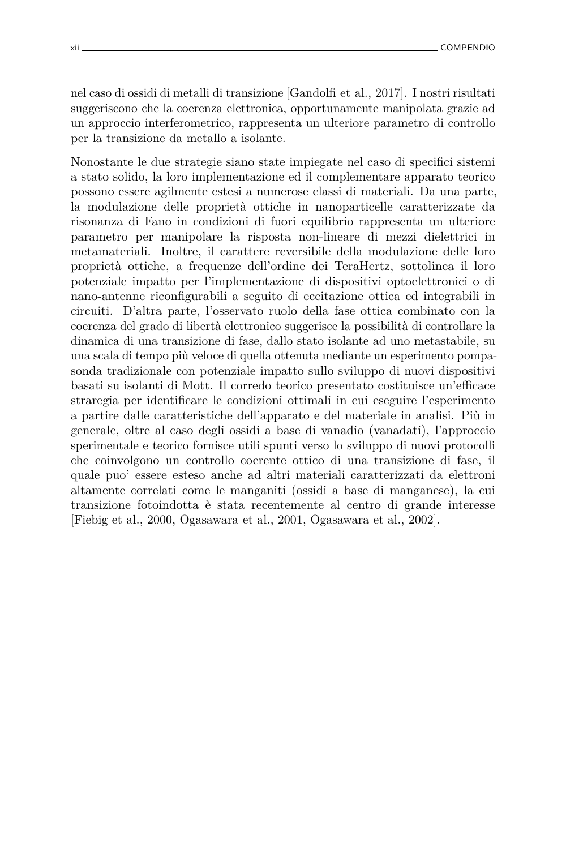nel caso di ossidi di metalli di transizione [Gandolfi et al., 2017]. I nostri risultati suggeriscono che la coerenza elettronica, opportunamente manipolata grazie ad un approccio interferometrico, rappresenta un ulteriore parametro di controllo per la transizione da metallo a isolante.

Nonostante le due strategie siano state impiegate nel caso di specifici sistemi a stato solido, la loro implementazione ed il complementare apparato teorico possono essere agilmente estesi a numerose classi di materiali. Da una parte, la modulazione delle proprietà ottiche in nanoparticelle caratterizzate da risonanza di Fano in condizioni di fuori equilibrio rappresenta un ulteriore parametro per manipolare la risposta non-lineare di mezzi dielettrici in metamateriali. Inoltre, il carattere reversibile della modulazione delle loro proprietà ottiche, a frequenze dell'ordine dei TeraHertz, sottolinea il loro potenziale impatto per l'implementazione di dispositivi optoelettronici o di nano-antenne riconfigurabili a seguito di eccitazione ottica ed integrabili in circuiti. D'altra parte, l'osservato ruolo della fase ottica combinato con la coerenza del grado di libertà elettronico suggerisce la possibilità di controllare la dinamica di una transizione di fase, dallo stato isolante ad uno metastabile, su una scala di tempo più veloce di quella ottenuta mediante un esperimento pompasonda tradizionale con potenziale impatto sullo sviluppo di nuovi dispositivi basati su isolanti di Mott. Il corredo teorico presentato costituisce un'efficace straregia per identificare le condizioni ottimali in cui eseguire l'esperimento a partire dalle caratteristiche dell'apparato e del materiale in analisi. Più in generale, oltre al caso degli ossidi a base di vanadio (vanadati), l'approccio sperimentale e teorico fornisce utili spunti verso lo sviluppo di nuovi protocolli che coinvolgono un controllo coerente ottico di una transizione di fase, il quale puo' essere esteso anche ad altri materiali caratterizzati da elettroni altamente correlati come le manganiti (ossidi a base di manganese), la cui transizione fotoindotta è stata recentemente al centro di grande interesse [Fiebig et al., 2000, Ogasawara et al., 2001, Ogasawara et al., 2002].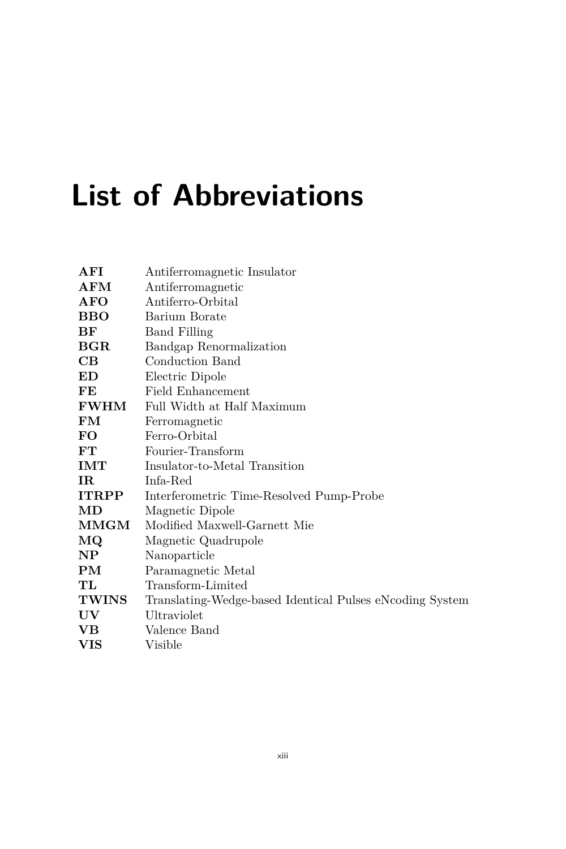# **List of Abbreviations**

| AFI                    | Antiferromagnetic Insulator                              |
|------------------------|----------------------------------------------------------|
| ${\bf AFM}$            | Antiferromagnetic                                        |
| <b>AFO</b>             | Antiferro-Orbital                                        |
| <b>BBO</b>             | Barium Borate                                            |
| BF                     | <b>Band Filling</b>                                      |
| $_{\rm BGR}$           | <b>Bandgap Renormalization</b>                           |
| $\rm CB$               | Conduction Band                                          |
| ED                     | Electric Dipole                                          |
| FE                     | Field Enhancement                                        |
| <b>FWHM</b>            | Full Width at Half Maximum                               |
| $\mathbf{FM}$          | Ferromagnetic                                            |
| FO.                    | Ferro-Orbital                                            |
| ${\bf FT}$             | Fourier-Transform                                        |
| IMT                    | Insulator-to-Metal Transition                            |
| IR                     | Infa-Red                                                 |
| <b>ITRPP</b>           | Interferometric Time-Resolved Pump-Probe                 |
| MD                     | Magnetic Dipole                                          |
| $\rm MMGM$             | Modified Maxwell-Garnett Mie                             |
| $_{\rm MQ}$            | Magnetic Quadrupole                                      |
| $\bf NP$               | Nanoparticle                                             |
| $\mathbf{PM}$          | Paramagnetic Metal                                       |
| $\mathbf T \mathbf L$  | Transform-Limited                                        |
| <b>TWINS</b>           | Translating-Wedge-based Identical Pulses eNcoding System |
| $\mathbf{U}\mathbf{V}$ | Ultraviolet                                              |
| $\mathbf{V}\mathbf{B}$ | Valence Band                                             |
| VIS                    | Visible                                                  |
|                        |                                                          |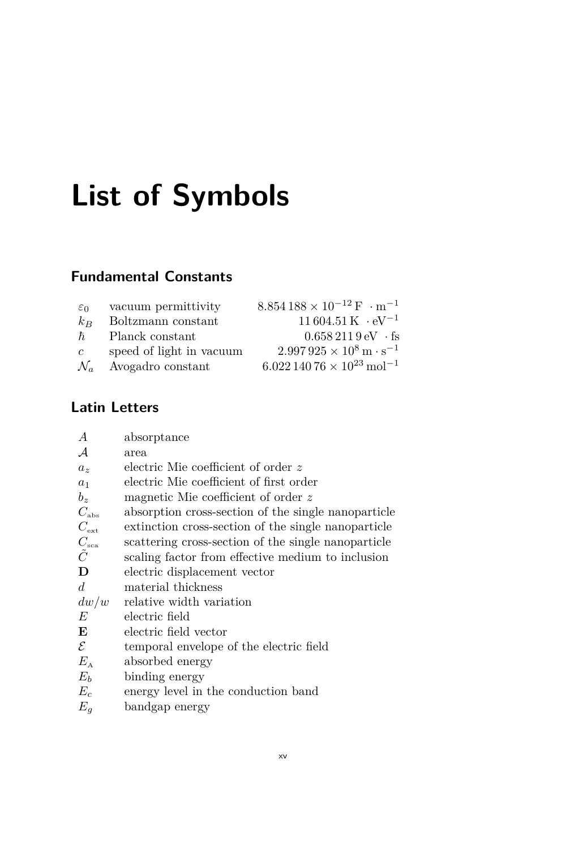# **List of Symbols**

#### **Fundamental Constants**

| $\varepsilon_0$ | vacuum permittivity               | $8.854188 \times 10^{-12} \text{ F} \cdot \text{m}^{-1}$ |
|-----------------|-----------------------------------|----------------------------------------------------------|
| $k_{B}$         | Boltzmann constant                | $11\,604.51\,\mathrm{K}$ $\cdot$ eV <sup>-1</sup>        |
| $\hbar$         | Planck constant                   | $0.6582119 \text{ eV}$ fs                                |
| $\mathcal{C}$   | speed of light in vacuum          | $2.997925 \times 10^8 \,\mathrm{m \cdot s^{-1}}$         |
|                 | $\mathcal{N}_a$ Avogadro constant | $6.02214076 \times 10^{23}$ mol <sup>-1</sup>            |
|                 |                                   |                                                          |

### **Latin Letters**

| $\overline{A}$ | absorptance                                         |
|----------------|-----------------------------------------------------|
| $\mathcal{A}$  | area                                                |
| $a_{\gamma}$   | electric Mie coefficient of order z                 |
| $a_1$          | electric Mie coefficient of first order             |
| $b_{\alpha}$   | magnetic Mie coefficient of order z                 |
| $C_{\rm abs}$  | absorption cross-section of the single nanoparticle |
| $C_{\rm ext}$  | extinction cross-section of the single nanoparticle |
| $C_{\rm sca}$  | scattering cross-section of the single nanoparticle |
| $\tilde{C}$    | scaling factor from effective medium to inclusion   |
| D              | electric displacement vector                        |
| d              | material thickness                                  |
| dw/w           | relative width variation                            |
| E              | electric field                                      |
| E              | electric field vector                               |
| E              | temporal envelope of the electric field             |
| $E_{\rm A}$    | absorbed energy                                     |
| $E_b$          | binding energy                                      |
| $E_c$          | energy level in the conduction band                 |
| $E_q$          | bandgap energy                                      |
|                |                                                     |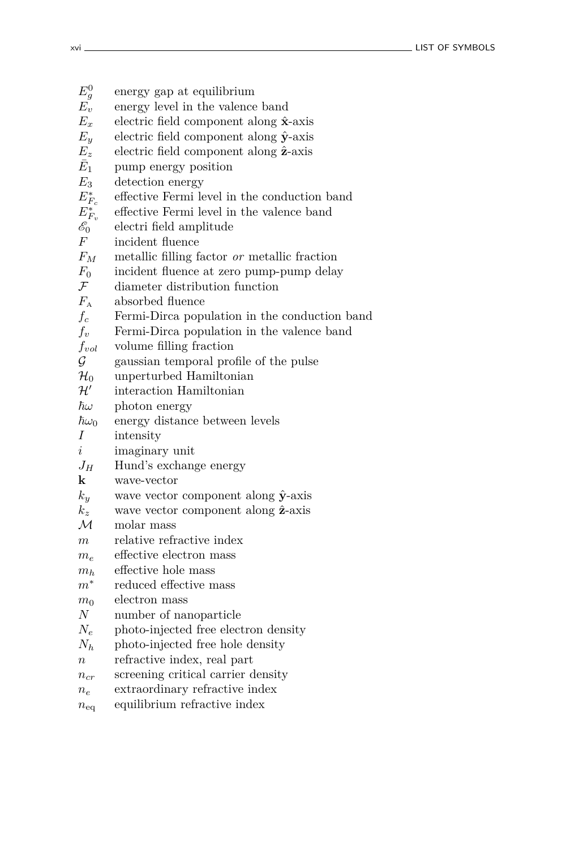$E_g^0$ energy gap at equilibrium  $\overrightarrow{E_v}$  energy level in the valence band<br>  $E_x$  electric field component along  $\hat{\mathbf{x}}$ *E<sup>x</sup>* electric field component along **x**ˆ-axis  $E_y$  electric field component along  $\hat{y}$ <sup>-axis</sup>  $E_z$  electric field component along  $\hat{z}$ -axis  $E_1$ pump energy position *E*<sup>3</sup> detection energy  $E_{F_c}^*$ effective Fermi level in the conduction band  $E^*_{F_v}$ effective Fermi level in the valence band  $\mathscr{E}_0$  electri field amplitude<br>F incident fluence *incident* fluence *F<sup>M</sup>* metallic filling factor *or* metallic fraction *F*<sup>0</sup> incident fluence at zero pump-pump delay  $\mathcal F$  diameter distribution function  $F_{\rm A}$  absorbed fluence *f<sup>c</sup>* Fermi-Dirca population in the conduction band *f<sup>v</sup>* Fermi-Dirca population in the valence band *fvol* volume filling fraction  $\mathcal G$  gaussian temporal profile of the pulse  $\mathcal{H}_0$  unperturbed Hamiltonian  $\mathcal{H}'$ interaction Hamiltonian  $\hbar\omega$  photon energy  $\hbar\omega_0$  energy distance between levels *I* intensity *i* imaginary unit  $J_H$  Hund's exchange energy **k** wave-vector  $k_y$  wave vector component along  $\hat{y}$ -axis  $k_z$  wave vector component along  $\hat{\mathbf{z}}$ -axis  $M$  molar mass *m* relative refractive index  $m_e$  effective electron mass *m<sup>h</sup>* effective hole mass *m*<sup>∗</sup> reduced effective mass *m*<sup>0</sup> electron mass *N* number of nanoparticle  $N_e$  photo-injected free electron density  $N_h$  photo-injected free hole density *n* refractive index, real part *ncr* screening critical carrier density *n<sup>e</sup>* extraordinary refractive index  $n_{\text{eq}}$  equilibrium refractive index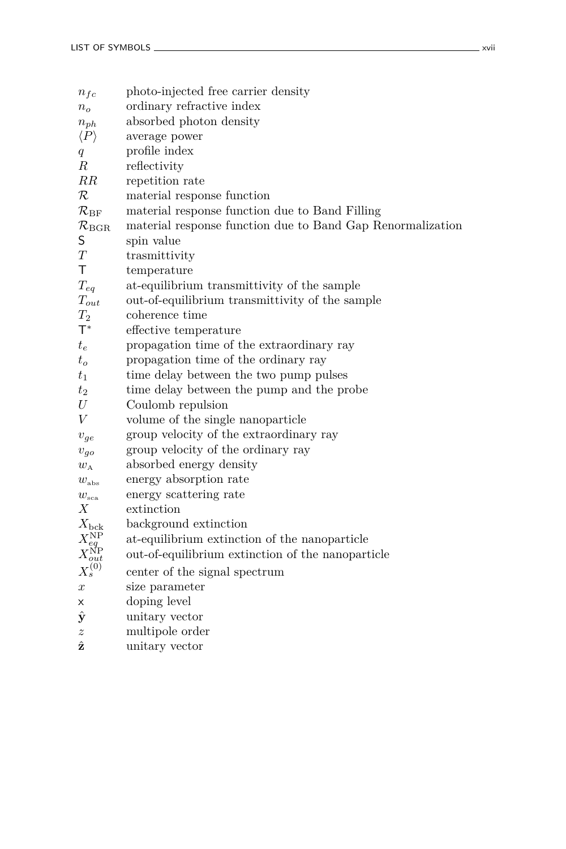| $n_{fc}$                                           | photo-injected free carrier density                        |
|----------------------------------------------------|------------------------------------------------------------|
| $n_{o}$                                            | ordinary refractive index                                  |
| $n_{ph}$                                           | absorbed photon density                                    |
| $\langle P \rangle$                                | average power                                              |
| $q_{\parallel}$                                    | profile index                                              |
| R                                                  | reflectivity                                               |
| RR                                                 | repetition rate                                            |
| $\mathcal R$                                       | material response function                                 |
| $\mathcal{R}_{\rm BF}$                             | material response function due to Band Filling             |
| $\mathcal{R}_{\rm BGR}$                            | material response function due to Band Gap Renormalization |
| S                                                  | spin value                                                 |
| T                                                  | trasmittivity                                              |
| т                                                  | temperature                                                |
| $T_{eq}$                                           | at-equilibrium transmittivity of the sample                |
| $T_{out}$                                          | out-of-equilibrium transmittivity of the sample            |
| $T_2$                                              | coherence time                                             |
| $T^*$                                              | effective temperature                                      |
| $t_e$                                              | propagation time of the extraordinary ray                  |
| $t_{\alpha}$                                       | propagation time of the ordinary ray                       |
| $t_{1}$                                            | time delay between the two pump pulses                     |
| $t_2$                                              | time delay between the pump and the probe                  |
| U                                                  | Coulomb repulsion                                          |
| V                                                  | volume of the single nanoparticle                          |
| $v_{ge}$                                           | group velocity of the extraordinary ray                    |
| $v_{go}$                                           | group velocity of the ordinary ray                         |
| $w_{A}$                                            | absorbed energy density                                    |
| $w_{\mbox{\tiny abs}}$                             | energy absorption rate                                     |
| $w_{\rm sca}$                                      | energy scattering rate                                     |
| Х                                                  | extinction                                                 |
| $X_{\rm bck}$                                      | background extinction                                      |
|                                                    | at-equilibrium extinction of the nanoparticle              |
|                                                    | out-of-equilibrium extinction of the nanoparticle          |
| $X_{eq}^{\rm NP}\ X_{out}^{\rm NP}\ X_{out}^{(0)}$ | center of the signal spectrum                              |
| $\boldsymbol{x}$                                   | size parameter                                             |
| x                                                  | doping level                                               |
| ŷ                                                  | unitary vector                                             |
| $\boldsymbol{z}$                                   | multipole order                                            |
| ź                                                  | unitary vector                                             |
|                                                    |                                                            |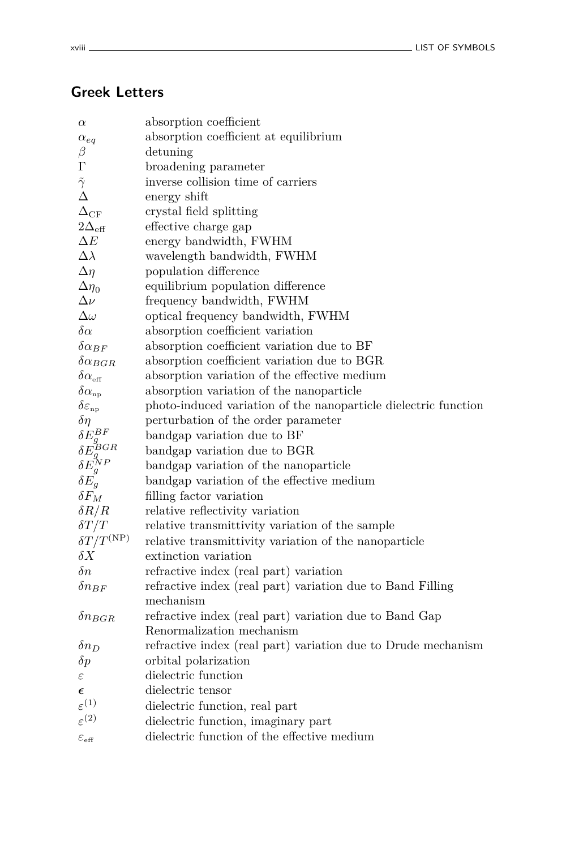#### **Greek Letters**

| $\alpha$                                                            | absorption coefficient                                          |
|---------------------------------------------------------------------|-----------------------------------------------------------------|
| $\alpha_{eq}$                                                       | absorption coefficient at equilibrium                           |
| $\beta$                                                             | detuning                                                        |
| $\Gamma$                                                            | broadening parameter                                            |
| $\tilde{\gamma}$                                                    | inverse collision time of carriers                              |
| $\Delta$                                                            | energy shift                                                    |
| $\Delta_{\rm CF}$                                                   | crystal field splitting                                         |
| $2\Delta_{\text{eff}}$                                              | effective charge gap                                            |
| $\Delta E$                                                          | energy bandwidth, FWHM                                          |
| $\Delta\lambda$                                                     | wavelength bandwidth, FWHM                                      |
| $\Delta\eta$                                                        | population difference                                           |
| $\Delta\eta_0$                                                      | equilibrium population difference                               |
| $\Delta \nu$                                                        | frequency bandwidth, FWHM                                       |
| $\Delta \omega$                                                     | optical frequency bandwidth, FWHM                               |
| $\delta \alpha$                                                     | absorption coefficient variation                                |
| $\delta \alpha_{BF}$                                                | absorption coefficient variation due to BF                      |
| $\delta \alpha_{BGR}$                                               | absorption coefficient variation due to BGR                     |
| $\delta \alpha_{\hbox{\scriptsize eff}}$                            | absorption variation of the effective medium                    |
| $\delta \alpha_{\rm np}$                                            | absorption variation of the nanoparticle                        |
| $\delta \varepsilon_{\text{np}}$                                    | photo-induced variation of the nanoparticle dielectric function |
| $\delta\eta$                                                        | perturbation of the order parameter                             |
|                                                                     | bandgap variation due to BF                                     |
|                                                                     | bandgap variation due to BGR                                    |
|                                                                     | bandgap variation of the nanoparticle                           |
| $\delta E_g^{BF} \ \delta E_g^{BGR} \ \delta E_g^{NP} \ \delta E_g$ | bandgap variation of the effective medium                       |
| $\delta F_M$                                                        | filling factor variation                                        |
| $\delta R/R$                                                        | relative reflectivity variation                                 |
| $\delta T/T$                                                        | relative transmittivity variation of the sample                 |
| $\delta T/T^{\rm (NP)}$                                             | relative transmittivity variation of the nanoparticle           |
| $\delta X$                                                          | extinction variation                                            |
| $\delta n$                                                          | refractive index (real part) variation                          |
| $\delta n_{BF}$                                                     | refractive index (real part) variation due to Band Filling      |
|                                                                     | mechanism                                                       |
| $\delta n_{BGR}$                                                    | refractive index (real part) variation due to Band Gap          |
|                                                                     | Renormalization mechanism                                       |
| $\delta n_D$                                                        | refractive index (real part) variation due to Drude mechanism   |
| $\delta p$                                                          | orbital polarization                                            |
| $\varepsilon$                                                       | dielectric function                                             |
| $\epsilon$                                                          | dielectric tensor                                               |
| $\varepsilon^{(1)}$                                                 | dielectric function, real part                                  |
| $\varepsilon^{\left(2\right)}$                                      | dielectric function, imaginary part                             |
| $\varepsilon_{\text{eff}}$                                          | dielectric function of the effective medium                     |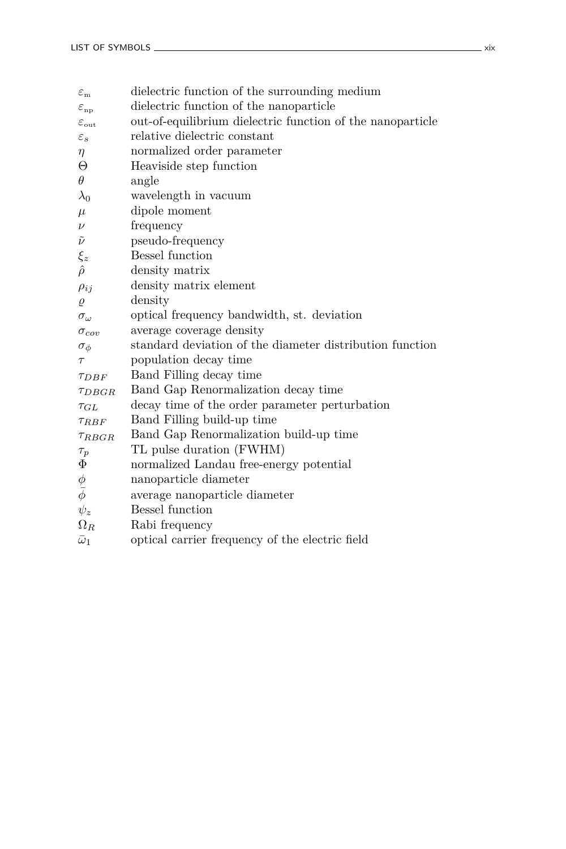| $\varepsilon_{\rm m}$      | dielectric function of the surrounding medium              |
|----------------------------|------------------------------------------------------------|
| $\varepsilon_{np}$         | dielectric function of the nanoparticle                    |
| $\varepsilon_{\text{out}}$ | out-of-equilibrium dielectric function of the nanoparticle |
| $\varepsilon_s$            | relative dielectric constant                               |
| $\eta$                     | normalized order parameter                                 |
| $\Theta$                   | Heaviside step function                                    |
| $\theta$                   | angle                                                      |
| $\lambda_0$                | wavelength in vacuum                                       |
| $\mu$                      | dipole moment                                              |
| $\nu$                      | frequency                                                  |
| $\tilde{\nu}$              | pseudo-frequency                                           |
| $\xi_z$                    | <b>Bessel function</b>                                     |
| $\hat{\rho}$               | density matrix                                             |
| $\rho_{ij}$                | density matrix element                                     |
| $\varrho$                  | density                                                    |
| $\sigma_{\omega}$          | optical frequency bandwidth, st. deviation                 |
| $\sigma_{cov}$             | average coverage density                                   |
| $\sigma_{\phi}$            | standard deviation of the diameter distribution function   |
| $\tau$                     | population decay time                                      |
| $\tau_{DBF}$               | Band Filling decay time                                    |
| TDRGR                      | Band Gap Renormalization decay time                        |
| $\tau_{GL}$                | decay time of the order parameter perturbation             |
| TRBF                       | Band Filling build-up time                                 |
| $\tau_{RBGR}$              | Band Gap Renormalization build-up time                     |
| $\tau_p$                   | TL pulse duration (FWHM)                                   |
| Φ                          | normalized Landau free-energy potential                    |
|                            | nanoparticle diameter                                      |
| $\frac{\phi}{\bar{\phi}}$  | average nanoparticle diameter                              |
| $\psi_z$                   | <b>Bessel function</b>                                     |
| $\Omega_R$                 | Rabi frequency                                             |
| $\bar{\omega}_1$           | optical carrier frequency of the electric field            |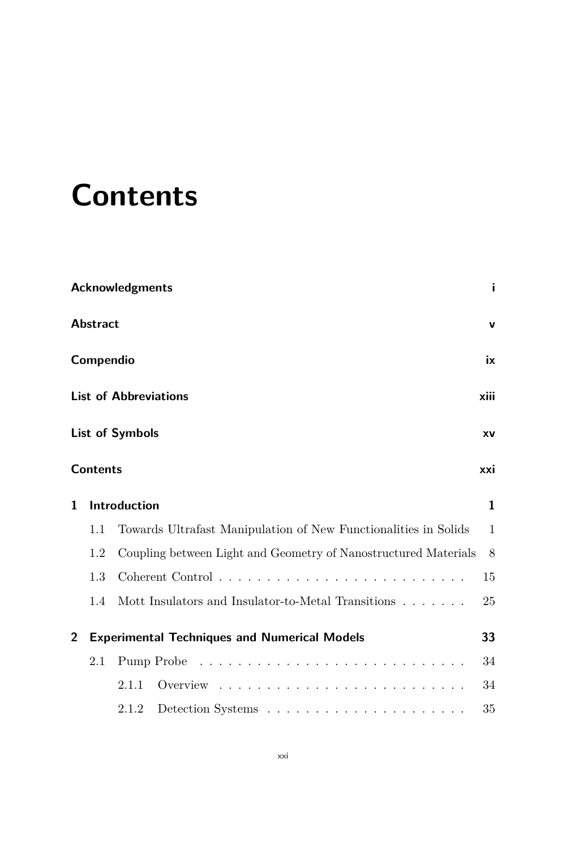# **Contents**

|                |                 | <b>Acknowledgments</b>                                                      | i            |
|----------------|-----------------|-----------------------------------------------------------------------------|--------------|
|                | <b>Abstract</b> |                                                                             | v            |
|                | Compendio       |                                                                             | ix           |
|                |                 | <b>List of Abbreviations</b>                                                | xiii         |
|                |                 | <b>List of Symbols</b>                                                      | XV           |
|                | <b>Contents</b> |                                                                             | xxi          |
| 1              |                 | Introduction                                                                | $\mathbf{1}$ |
|                | 1.1             | Towards Ultrafast Manipulation of New Functionalities in Solids             | $\mathbf{1}$ |
|                | 1.2             | Coupling between Light and Geometry of Nanostructured Materials             | 8            |
|                | 1.3             |                                                                             | 15           |
|                | 1.4             | Mott Insulators and Insulator-to-Metal Transitions $\ldots \ldots$          | 25           |
| $\overline{2}$ |                 | <b>Experimental Techniques and Numerical Models</b>                         | 33           |
|                | 2.1             |                                                                             | 34           |
|                |                 | Overview $\ldots \ldots \ldots \ldots \ldots \ldots \ldots \ldots$<br>2.1.1 | 34           |
|                |                 | 2.1.2                                                                       | 35           |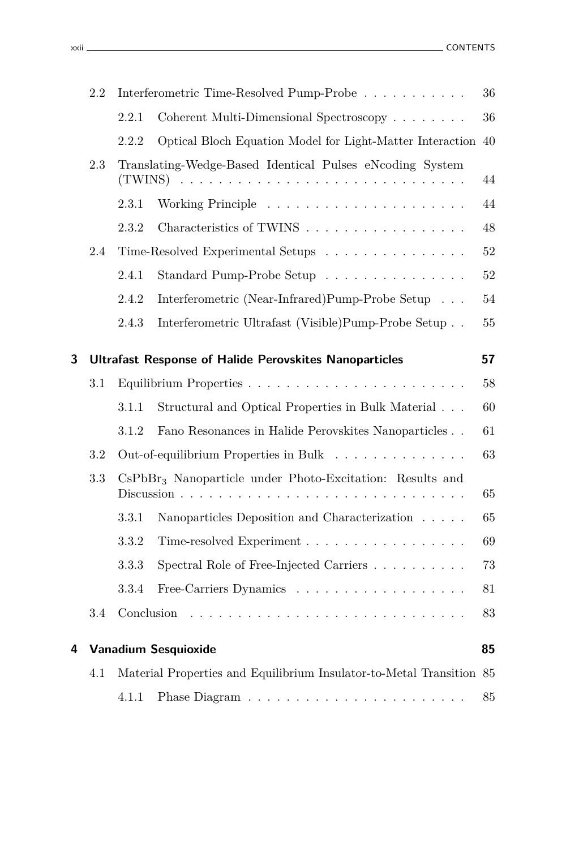|   | 2.2 |                                                                                                           | Interferometric Time-Resolved Pump-Probe                                                                                                                                                 | 36          |
|---|-----|-----------------------------------------------------------------------------------------------------------|------------------------------------------------------------------------------------------------------------------------------------------------------------------------------------------|-------------|
|   |     | 2.2.1                                                                                                     | Coherent Multi-Dimensional Spectroscopy                                                                                                                                                  | 36          |
|   |     | 2.2.2                                                                                                     | Optical Bloch Equation Model for Light-Matter Interaction                                                                                                                                | 40          |
|   | 2.3 | (TWINS)                                                                                                   | Translating-Wedge-Based Identical Pulses eNcoding System<br>$\begin{array}{cccccccccccccccccc} . & . & . & . & . & . & . & . & . & . & . \end{array}$<br>and a series and a series and a | 44          |
|   |     | 2.3.1                                                                                                     |                                                                                                                                                                                          | 44          |
|   |     | 2.3.2                                                                                                     | Characteristics of TWINS                                                                                                                                                                 | 48          |
|   | 2.4 |                                                                                                           | Time-Resolved Experimental Setups                                                                                                                                                        | 52          |
|   |     | 2.4.1                                                                                                     | Standard Pump-Probe Setup                                                                                                                                                                | $\sqrt{52}$ |
|   |     | 2.4.2                                                                                                     | Interferometric (Near-Infrared)Pump-Probe Setup                                                                                                                                          | 54          |
|   |     | 2.4.3                                                                                                     | Interferometric Ultrafast (Visible) Pump-Probe Setup                                                                                                                                     | $55\,$      |
| 3 |     |                                                                                                           | <b>Ultrafast Response of Halide Perovskites Nanoparticles</b>                                                                                                                            | 57          |
|   | 3.1 |                                                                                                           |                                                                                                                                                                                          | 58          |
|   |     | 3.1.1                                                                                                     | Structural and Optical Properties in Bulk Material                                                                                                                                       | 60          |
|   |     | 3.1.2                                                                                                     | Fano Resonances in Halide Perovskites Nanoparticles                                                                                                                                      | 61          |
|   | 3.2 |                                                                                                           | Out-of-equilibrium Properties in Bulk                                                                                                                                                    | 63          |
|   | 3.3 | $CsPbBr3$ Nanoparticle under Photo-Excitation: Results and<br>Discussion<br>and a straight and a straight |                                                                                                                                                                                          | 65          |
|   |     | 3.3.1                                                                                                     | Nanoparticles Deposition and Characterization                                                                                                                                            | 65          |
|   |     | 3.3.2                                                                                                     | Time-resolved Experiment                                                                                                                                                                 | 69          |
|   |     | 3.3.3                                                                                                     | Spectral Role of Free-Injected Carriers                                                                                                                                                  | 73          |
|   |     | 3.3.4                                                                                                     | Free-Carriers Dynamics                                                                                                                                                                   | 81          |
|   | 3.4 | Conclusion                                                                                                |                                                                                                                                                                                          | 83          |
| 4 |     |                                                                                                           | Vanadium Sesquioxide                                                                                                                                                                     | 85          |
|   | 4.1 |                                                                                                           | Material Properties and Equilibrium Insulator-to-Metal Transition 85                                                                                                                     |             |
|   |     | 4.1.1                                                                                                     |                                                                                                                                                                                          | 85          |
|   |     |                                                                                                           |                                                                                                                                                                                          |             |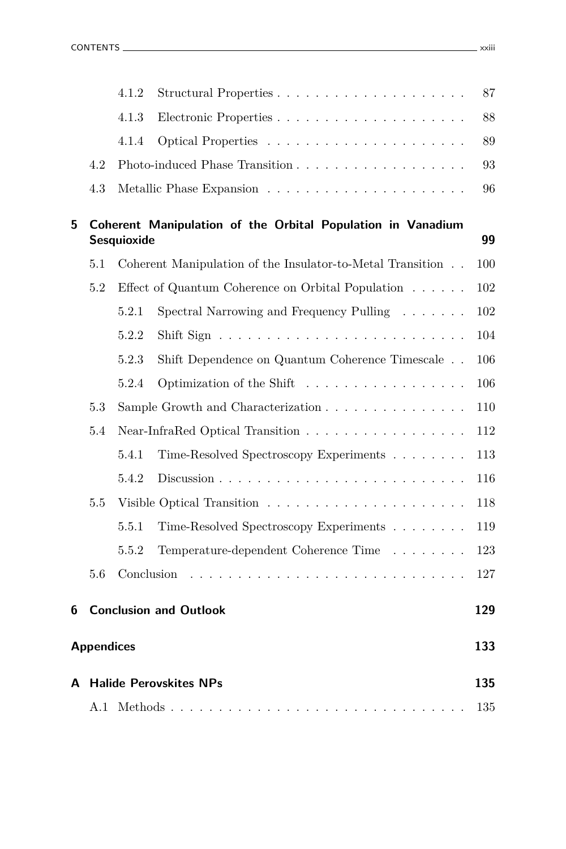|   |                   | 4.1.2                                                                            |                                                                          | 87  |
|---|-------------------|----------------------------------------------------------------------------------|--------------------------------------------------------------------------|-----|
|   |                   | 4.1.3                                                                            |                                                                          | 88  |
|   |                   | 4.1.4                                                                            |                                                                          | 89  |
|   | 4.2               |                                                                                  |                                                                          | 93  |
|   | 4.3               |                                                                                  |                                                                          | 96  |
| 5 |                   | Coherent Manipulation of the Orbital Population in Vanadium<br>Sesquioxide<br>99 |                                                                          |     |
|   | 5.1               |                                                                                  | Coherent Manipulation of the Insulator-to-Metal Transition $\,$ . $\,$ . | 100 |
|   | 5.2               |                                                                                  | Effect of Quantum Coherence on Orbital Population $\ldots \ldots$        | 102 |
|   |                   | 5.2.1                                                                            | Spectral Narrowing and Frequency Pulling                                 | 102 |
|   |                   | 5.2.2                                                                            |                                                                          | 104 |
|   |                   | 5.2.3                                                                            | Shift Dependence on Quantum Coherence Timescale                          | 106 |
|   |                   | 5.2.4                                                                            | Optimization of the Shift                                                | 106 |
|   | 5.3               |                                                                                  | Sample Growth and Characterization                                       | 110 |
|   | 5.4               | Near-InfraRed Optical Transition<br>112                                          |                                                                          |     |
|   |                   | 5.4.1                                                                            | Time-Resolved Spectroscopy Experiments                                   | 113 |
|   |                   | 5.4.2                                                                            |                                                                          | 116 |
|   | $5.5\,$           |                                                                                  |                                                                          | 118 |
|   |                   | 5.5.1                                                                            | Time-Resolved Spectroscopy Experiments                                   | 119 |
|   |                   | 5.5.2                                                                            | Temperature-dependent Coherence Time                                     | 123 |
|   | 5.6               | Conclusion                                                                       |                                                                          | 127 |
| 6 |                   |                                                                                  | <b>Conclusion and Outlook</b>                                            | 129 |
|   | <b>Appendices</b> |                                                                                  |                                                                          | 133 |
| A |                   |                                                                                  | <b>Halide Perovskites NPs</b>                                            | 135 |
|   |                   |                                                                                  |                                                                          | 135 |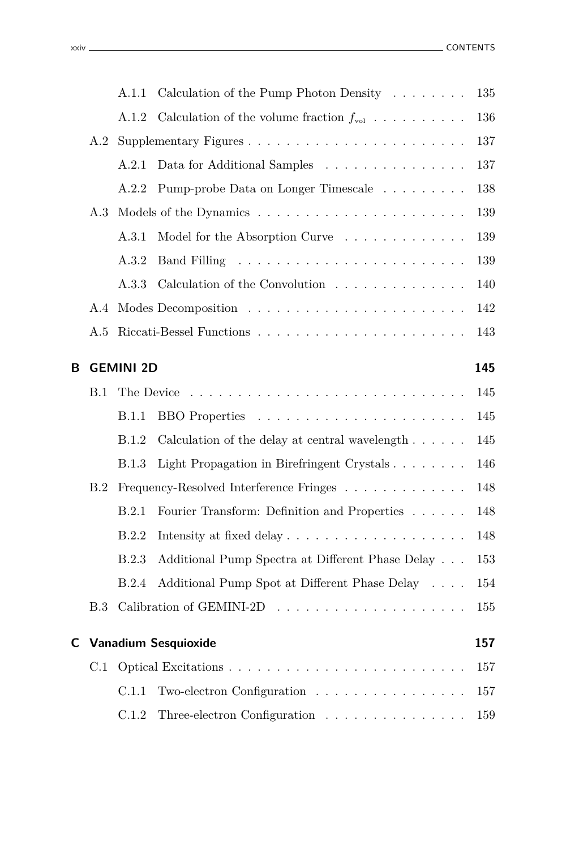|   |     | A.1.1            | Calculation of the Pump Photon Density $\ldots \ldots$                                  | 135 |
|---|-----|------------------|-----------------------------------------------------------------------------------------|-----|
|   |     | A.1.2            | Calculation of the volume fraction $f_{\text{vol}}$                                     | 136 |
|   | A.2 |                  |                                                                                         | 137 |
|   |     | A.2.1            | Data for Additional Samples<br>$\hfill\ldots\ldots\ldots\ldots\ldots\ldots\ldots\ldots$ | 137 |
|   |     | A.2.2            | Pump-probe Data on Longer Timescale                                                     | 138 |
|   | A.3 |                  |                                                                                         | 139 |
|   |     | A.3.1            | Model for the Absorption Curve                                                          | 139 |
|   |     | A.3.2            | Band Filling                                                                            | 139 |
|   |     | A.3.3            | Calculation of the Convolution $\hfill\ldots\ldots\ldots\ldots\ldots\ldots\ldots$       | 140 |
|   | A.4 |                  |                                                                                         | 142 |
|   | A.5 |                  |                                                                                         | 143 |
| В |     | <b>GEMINI 2D</b> |                                                                                         | 145 |
|   | B.1 | The Device       |                                                                                         | 145 |
|   |     | B.1.1            | <b>BBO</b> Properties                                                                   | 145 |
|   |     | B.1.2            | Calculation of the delay at central wavelength $\ldots \ldots$                          | 145 |
|   |     | B.1.3            | Light Propagation in Birefringent Crystals                                              | 146 |
|   | B.2 |                  | Frequency-Resolved Interference Fringes                                                 | 148 |
|   |     | B.2.1            | Fourier Transform: Definition and Properties                                            | 148 |
|   |     | B.2.2            |                                                                                         | 148 |
|   |     |                  |                                                                                         |     |
|   |     | B.2.3            | Additional Pump Spectra at Different Phase Delay                                        | 153 |
|   |     | B.2.4            | Additional Pump Spot at Different Phase Delay                                           | 154 |
|   | B.3 |                  |                                                                                         | 155 |
| C |     |                  | Vanadium Sesquioxide                                                                    | 157 |
|   | C.1 |                  |                                                                                         | 157 |
|   |     | C.1.1            | Two-electron Configuration                                                              | 157 |